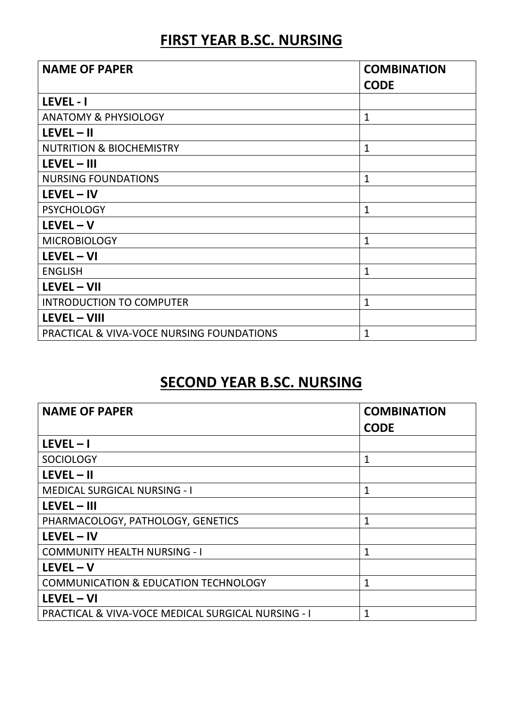## FIRST YEAR B.SC. NURSING

| <b>NAME OF PAPER</b>                                 | <b>COMBINATION</b> |
|------------------------------------------------------|--------------------|
|                                                      | <b>CODE</b>        |
| LEVEL - I                                            |                    |
| <b>ANATOMY &amp; PHYSIOLOGY</b>                      | 1                  |
| $LEVEL - II$                                         |                    |
| <b>NUTRITION &amp; BIOCHEMISTRY</b>                  | $\mathbf{1}$       |
| $LEVEL - III$                                        |                    |
| <b>NURSING FOUNDATIONS</b>                           | $\mathbf{1}$       |
| $LEVEL - IV$                                         |                    |
| <b>PSYCHOLOGY</b>                                    | $\mathbf{1}$       |
| $LEVEL - V$                                          |                    |
| <b>MICROBIOLOGY</b>                                  | $\mathbf{1}$       |
| $LEVEL - VI$                                         |                    |
| <b>ENGLISH</b>                                       | $\mathbf{1}$       |
| LEVEL - VII                                          |                    |
| <b>INTRODUCTION TO COMPUTER</b>                      | $\mathbf{1}$       |
| <b>LEVEL - VIII</b>                                  |                    |
| <b>PRACTICAL &amp; VIVA-VOCE NURSING FOUNDATIONS</b> | $\mathbf{1}$       |

## SECOND YEAR B.SC. NURSING

| <b>NAME OF PAPER</b>                                          | <b>COMBINATION</b><br><b>CODE</b> |
|---------------------------------------------------------------|-----------------------------------|
| $LEVEL - I$                                                   |                                   |
| <b>SOCIOLOGY</b>                                              | 1                                 |
| $LEVEL - II$                                                  |                                   |
| <b>MEDICAL SURGICAL NURSING - I</b>                           | $\mathbf 1$                       |
| $LEVEL - III$                                                 |                                   |
| PHARMACOLOGY, PATHOLOGY, GENETICS                             | 1                                 |
| $LEVEL - IV$                                                  |                                   |
| <b>COMMUNITY HEALTH NURSING - I</b>                           | 1                                 |
| $LEVEL - V$                                                   |                                   |
| <b>COMMUNICATION &amp; EDUCATION TECHNOLOGY</b>               | 1                                 |
| $LEVEL - VI$                                                  |                                   |
| <b>PRACTICAL &amp; VIVA-VOCE MEDICAL SURGICAL NURSING - I</b> | 1                                 |